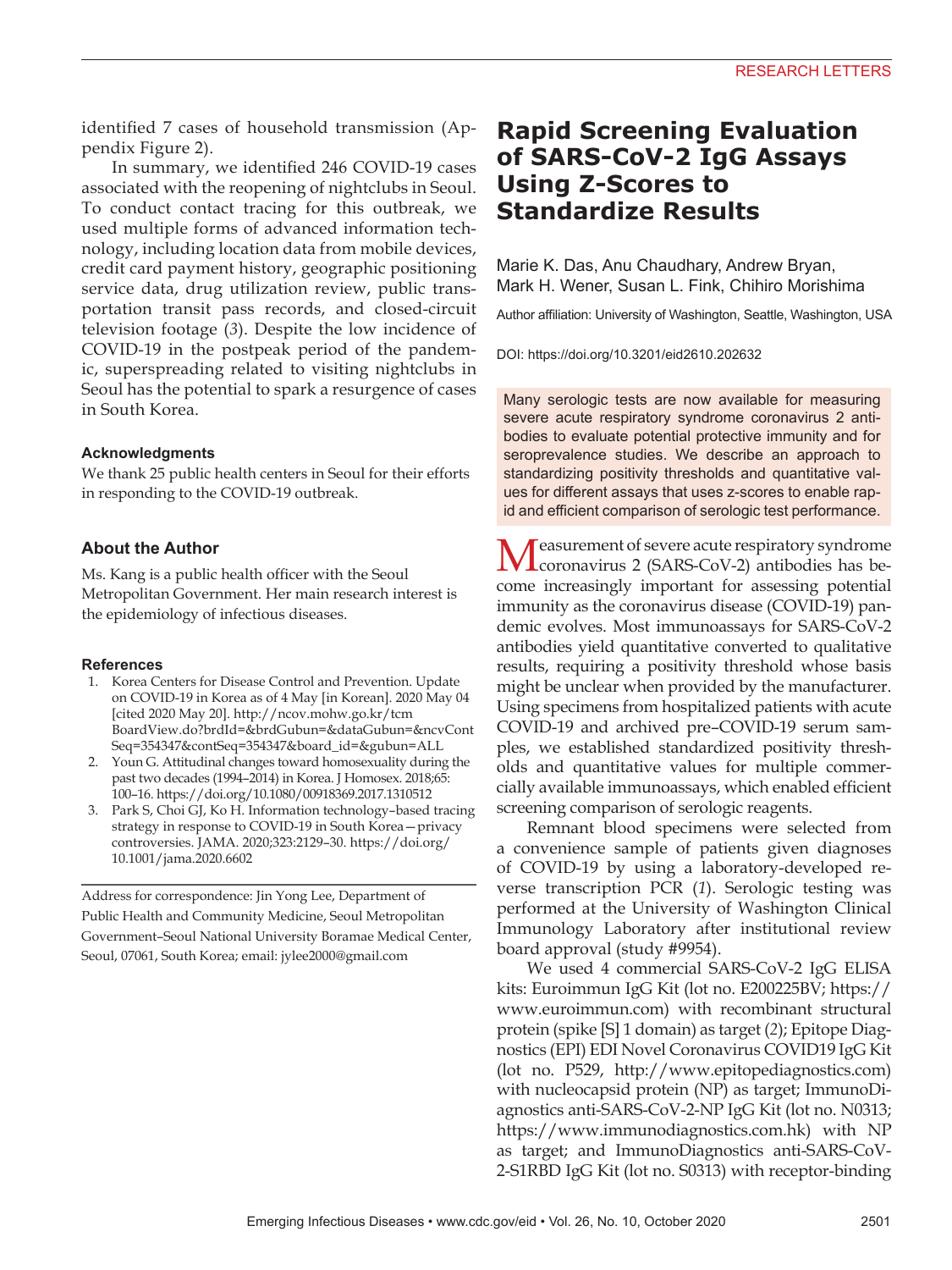identified 7 cases of household transmission (Appendix Figure 2).

In summary, we identified 246 COVID-19 cases associated with the reopening of nightclubs in Seoul. To conduct contact tracing for this outbreak, we used multiple forms of advanced information technology, including location data from mobile devices, credit card payment history, geographic positioning service data, drug utilization review, public transportation transit pass records, and closed-circuit television footage (*3*). Despite the low incidence of COVID-19 in the postpeak period of the pandemic, superspreading related to visiting nightclubs in Seoul has the potential to spark a resurgence of cases in South Korea.

#### **Acknowledgments**

We thank 25 public health centers in Seoul for their efforts in responding to the COVID-19 outbreak.

## **About the Author**

Ms. Kang is a public health officer with the Seoul Metropolitan Government. Her main research interest is the epidemiology of infectious diseases.

#### **References**

- 1. Korea Centers for Disease Control and Prevention. Update on COVID-19 in Korea as of 4 May [in Korean]. 2020 May 04 [cited 2020 May 20]. http://ncov.mohw.go.kr/tcm BoardView.do?brdId=&brdGubun=&dataGubun=&ncvCont Seq=354347&contSeq=354347&board\_id=&gubun=ALL
- 2. Youn G. Attitudinal changes toward homosexuality during the past two decades (1994–2014) in Korea. J Homosex. 2018;65: 100–16. https://doi.org/10.1080/00918369.2017.1310512
- 3. Park S, Choi GJ, Ko H. Information technology–based tracing strategy in response to COVID-19 in South Korea—privacy controversies. JAMA. 2020;323:2129–30. https://doi.org/ 10.1001/jama.2020.6602

Address for correspondence: Jin Yong Lee, Department of Public Health and Community Medicine, Seoul Metropolitan Government–Seoul National University Boramae Medical Center, Seoul, 07061, South Korea; email: jylee2000@gmail.com

# **Rapid Screening Evaluation of SARS-CoV-2 IgG Assays Using Z-Scores to Standardize Results**

Marie K. Das, Anu Chaudhary, Andrew Bryan, Mark H. Wener, Susan L. Fink, Chihiro Morishima

Author affiliation: University of Washington, Seattle, Washington, USA

DOI: https://doi.org/10.3201/eid2610.202632

Many serologic tests are now available for measuring severe acute respiratory syndrome coronavirus 2 antibodies to evaluate potential protective immunity and for seroprevalence studies. We describe an approach to standardizing positivity thresholds and quantitative values for different assays that uses z-scores to enable rapid and efficient comparison of serologic test performance.

Measurement of severe acute respiratory syndrome coronavirus 2 (SARS-CoV-2) antibodies has become increasingly important for assessing potential immunity as the coronavirus disease (COVID-19) pandemic evolves. Most immunoassays for SARS-CoV-2 antibodies yield quantitative converted to qualitative results, requiring a positivity threshold whose basis might be unclear when provided by the manufacturer. Using specimens from hospitalized patients with acute COVID-19 and archived pre–COVID-19 serum samples, we established standardized positivity thresholds and quantitative values for multiple commercially available immunoassays, which enabled efficient screening comparison of serologic reagents.

Remnant blood specimens were selected from a convenience sample of patients given diagnoses of COVID-19 by using a laboratory-developed reverse transcription PCR (*1*). Serologic testing was performed at the University of Washington Clinical Immunology Laboratory after institutional review board approval (study #9954).

We used 4 commercial SARS-CoV-2 IgG ELISA kits: Euroimmun IgG Kit (lot no. E200225BV; https:// www.euroimmun.com) with recombinant structural protein (spike [S] 1 domain) as target (*2*); Epitope Diagnostics (EPI) EDI Novel Coronavirus COVID19 IgG Kit (lot no. P529, http://www.epitopediagnostics.com) with nucleocapsid protein (NP) as target; ImmunoDiagnostics anti-SARS-CoV-2-NP IgG Kit (lot no. N0313; https://www.immunodiagnostics.com.hk) with NP as target; and ImmunoDiagnostics anti-SARS-CoV-2-S1RBD IgG Kit (lot no. S0313) with receptor-binding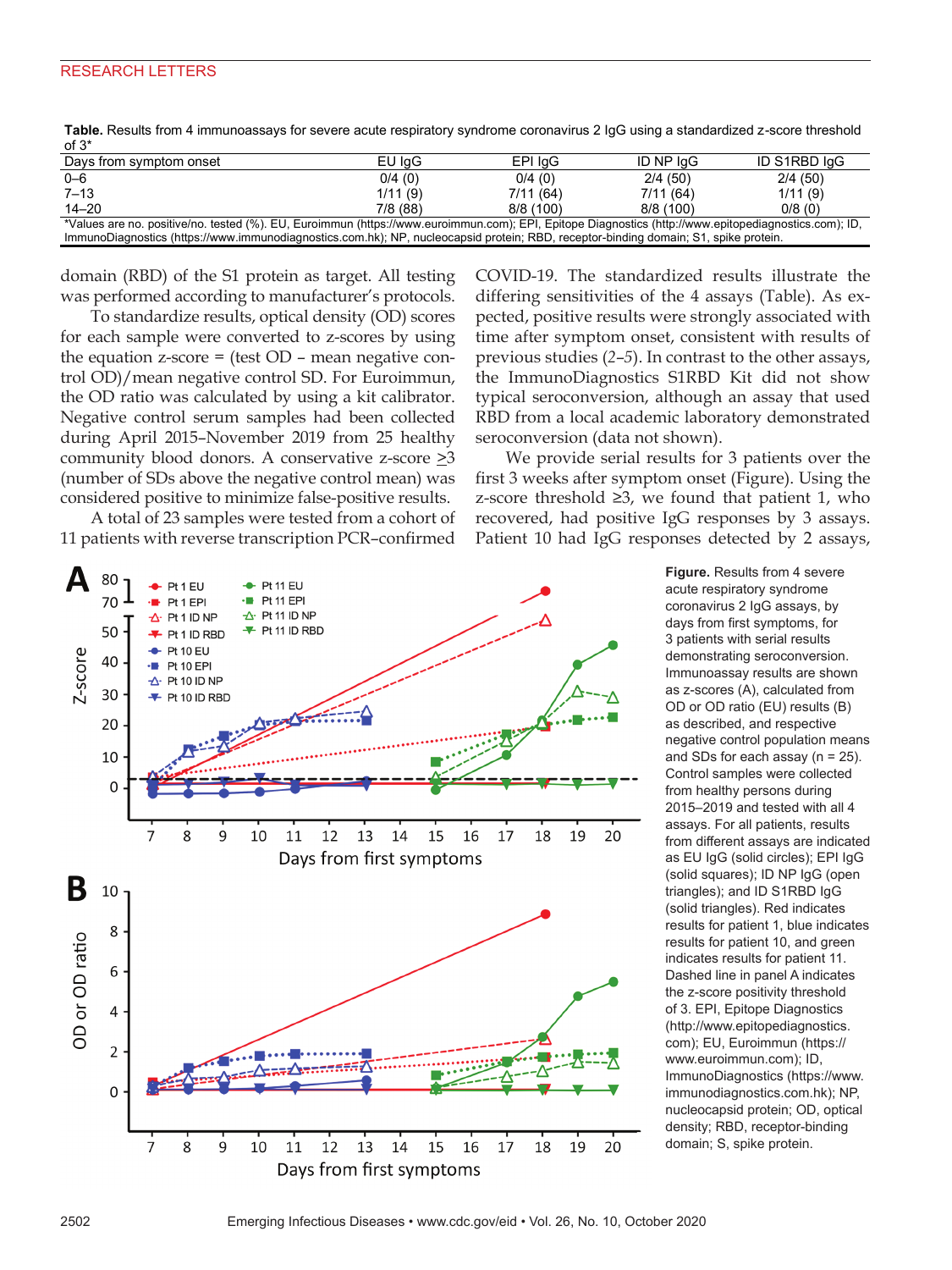# RESEARCH LETTERS

| כ וט                                                                                                                                                  |         |          |           |              |
|-------------------------------------------------------------------------------------------------------------------------------------------------------|---------|----------|-----------|--------------|
| Days from symptom onset                                                                                                                               | EU IgG  | EPI IgG  | ID NP IqG | ID S1RBD IqG |
| $0 - 6$                                                                                                                                               | 0/4(0)  | 0/4(0)   | 2/4(50)   | 2/4(50)      |
| $7 - 13$                                                                                                                                              | 1/11(9) | 7/11(64) | 7/11(64)  | 1/11(9)      |
| $14 - 20$                                                                                                                                             | 7/8(88) | 8/8(100) | 8/8(100)  | 0/8(0)       |
| *Values are no. positive/no. tested (%). EU, Euroimmun (https://www.euroimmun.com); EPI, Epitope Diagnostics (http://www.epitopediagnostics.com); ID, |         |          |           |              |
| ImmunoDiagnostics (https://www.immunodiagnostics.com.hk); NP, nucleocapsid protein; RBD, receptor-binding domain; S1, spike protein.                  |         |          |           |              |

**Table.** Results from 4 immunoassays for severe acute respiratory syndrome coronavirus 2 IgG using a standardized z-score threshold  $\epsilon$   $\Omega^*$ 

domain (RBD) of the S1 protein as target. All testing was performed according to manufacturer's protocols.

To standardize results, optical density (OD) scores for each sample were converted to z-scores by using the equation  $z$ -score = (test  $OD$  – mean negative control OD)/mean negative control SD. For Euroimmun, the OD ratio was calculated by using a kit calibrator. Negative control serum samples had been collected during April 2015–November 2019 from 25 healthy community blood donors. A conservative z-score  $\geq 3$ (number of SDs above the negative control mean) was considered positive to minimize false-positive results.

A total of 23 samples were tested from a cohort of 11 patients with reverse transcription PCR–confirmed



COVID-19. The standardized results illustrate the differing sensitivities of the 4 assays (Table). As expected, positive results were strongly associated with time after symptom onset, consistent with results of previous studies (*2*–*5*). In contrast to the other assays, the ImmunoDiagnostics S1RBD Kit did not show typical seroconversion, although an assay that used RBD from a local academic laboratory demonstrated seroconversion (data not shown).

We provide serial results for 3 patients over the first 3 weeks after symptom onset (Figure). Using the z-score threshold ≥3, we found that patient 1, who recovered, had positive IgG responses by 3 assays. Patient 10 had IgG responses detected by 2 assays,

> **Figure.** Results from 4 severe acute respiratory syndrome coronavirus 2 IgG assays, by days from first symptoms, for 3 patients with serial results demonstrating seroconversion. Immunoassay results are shown as z-scores (A), calculated from OD or OD ratio (EU) results (B) as described, and respective negative control population means and SDs for each assay (n = 25). Control samples were collected from healthy persons during 2015–2019 and tested with all 4 assays. For all patients, results from different assays are indicated as EU IgG (solid circles); EPI IgG (solid squares); ID NP IgG (open triangles); and ID S1RBD IgG (solid triangles). Red indicates results for patient 1, blue indicates results for patient 10, and green indicates results for patient 11. Dashed line in panel A indicates the z-score positivity threshold of 3. EPI, Epitope Diagnostics (http://www.epitopediagnostics. com); EU, Euroimmun (https:// www.euroimmun.com); ID, ImmunoDiagnostics (https://www. immunodiagnostics.com.hk); NP, nucleocapsid protein; OD, optical density; RBD, receptor-binding domain; S, spike protein.

2502 Emerging Infectious Diseases • www.cdc.gov/eid • Vol. 26, No. 10, October 2020